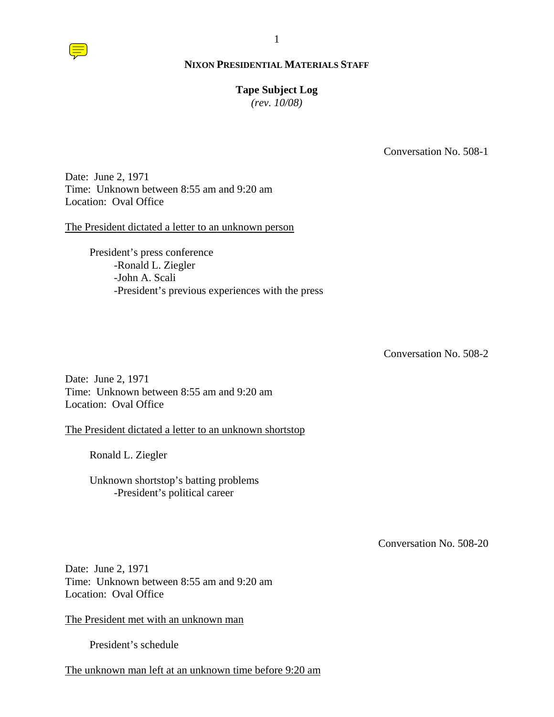# **Tape Subject Log**

*(rev. 10/08)*

Conversation No. 508-1

Date: June 2, 1971 Time: Unknown between 8:55 am and 9:20 am Location: Oval Office

The President dictated a letter to an unknown person

President's press conference -Ronald L. Ziegler -John A. Scali -President's previous experiences with the press

Conversation No. 508-2

Date: June 2, 1971 Time: Unknown between 8:55 am and 9:20 am Location: Oval Office

The President dictated a letter to an unknown shortstop

Ronald L. Ziegler

Unknown shortstop's batting problems -President's political career

Conversation No. 508-20

Date: June 2, 1971 Time: Unknown between 8:55 am and 9:20 am Location: Oval Office

The President met with an unknown man

President's schedule

The unknown man left at an unknown time before 9:20 am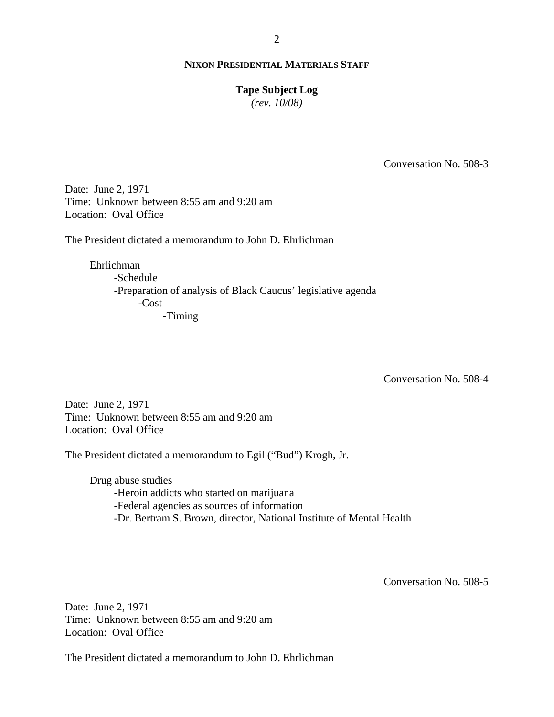#### **Tape Subject Log**

*(rev. 10/08)*

Conversation No. 508-3

Date: June 2, 1971 Time: Unknown between 8:55 am and 9:20 am Location: Oval Office

The President dictated a memorandum to John D. Ehrlichman

Ehrlichman -Schedule -Preparation of analysis of Black Caucus' legislative agenda -Cost -Timing

Conversation No. 508-4

Date: June 2, 1971 Time: Unknown between 8:55 am and 9:20 am Location: Oval Office

The President dictated a memorandum to Egil ("Bud") Krogh, Jr.

Drug abuse studies -Heroin addicts who started on marijuana -Federal agencies as sources of information -Dr. Bertram S. Brown, director, National Institute of Mental Health

Conversation No. 508-5

Date: June 2, 1971 Time: Unknown between 8:55 am and 9:20 am Location: Oval Office

The President dictated a memorandum to John D. Ehrlichman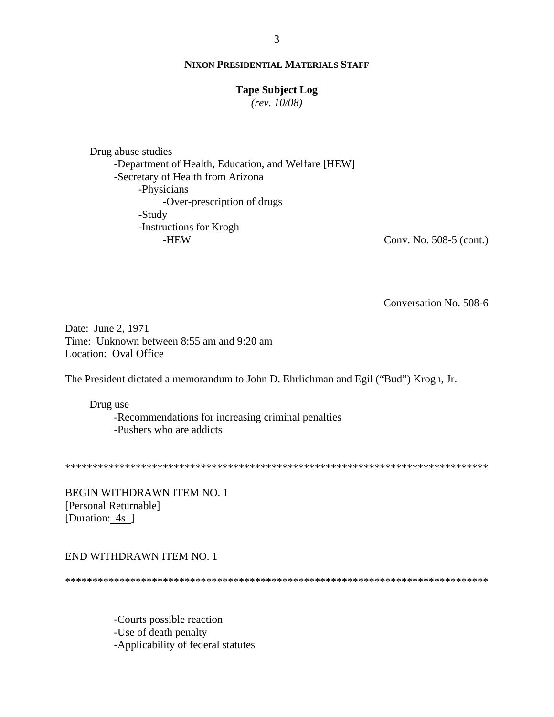# **Tape Subject Log**

 $(rev. 10/08)$ 

Drug abuse studies -Department of Health, Education, and Welfare [HEW] -Secretary of Health from Arizona -Physicians -Over-prescription of drugs -Study -Instructions for Krogh -HEW

Conv. No. 508-5 (cont.)

Conversation No. 508-6

Date: June 2, 1971 Time: Unknown between 8:55 am and 9:20 am Location: Oval Office

The President dictated a memorandum to John D. Ehrlichman and Egil ("Bud") Krogh, Jr.

Drug use -Recommendations for increasing criminal penalties -Pushers who are addicts

**BEGIN WITHDRAWN ITEM NO. 1** [Personal Returnable] [Duration: 4s ]

# END WITHDRAWN ITEM NO. 1

-Courts possible reaction -Use of death penalty -Applicability of federal statutes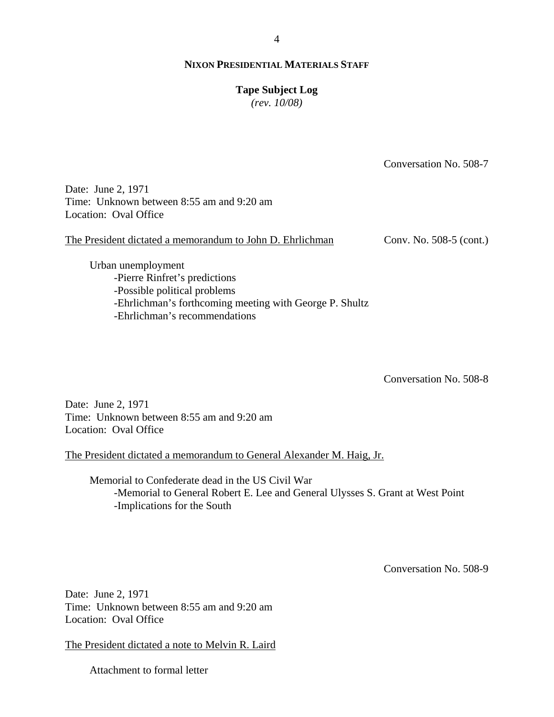#### 4

## **NIXON PRESIDENTIAL MATERIALS STAFF**

#### **Tape Subject Log**

*(rev. 10/08)*

Conversation No. 508-7

Date: June 2, 1971 Time: Unknown between 8:55 am and 9:20 am Location: Oval Office

The President dictated a memorandum to John D. Ehrlichman Conv. No. 508-5 (cont.)

Urban unemployment -Pierre Rinfret's predictions -Possible political problems -Ehrlichman's forthcoming meeting with George P. Shultz -Ehrlichman's recommendations

Conversation No. 508-8

Date: June 2, 1971 Time: Unknown between 8:55 am and 9:20 am Location: Oval Office

The President dictated a memorandum to General Alexander M. Haig, Jr.

Memorial to Confederate dead in the US Civil War -Memorial to General Robert E. Lee and General Ulysses S. Grant at West Point -Implications for the South

Conversation No. 508-9

Date: June 2, 1971 Time: Unknown between 8:55 am and 9:20 am Location: Oval Office

The President dictated a note to Melvin R. Laird

Attachment to formal letter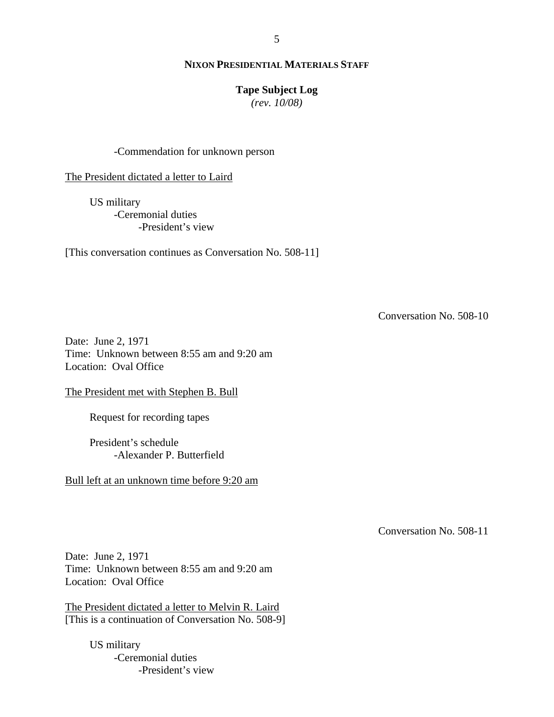## **Tape Subject Log**

*(rev. 10/08)*

#### -Commendation for unknown person

The President dictated a letter to Laird

US military -Ceremonial duties -President's view

[This conversation continues as Conversation No. 508-11]

Conversation No. 508-10

Date: June 2, 1971 Time: Unknown between 8:55 am and 9:20 am Location: Oval Office

The President met with Stephen B. Bull

Request for recording tapes

President's schedule -Alexander P. Butterfield

Bull left at an unknown time before 9:20 am

Conversation No. 508-11

Date: June 2, 1971 Time: Unknown between 8:55 am and 9:20 am Location: Oval Office

The President dictated a letter to Melvin R. Laird [This is a continuation of Conversation No. 508-9]

> US military -Ceremonial duties -President's view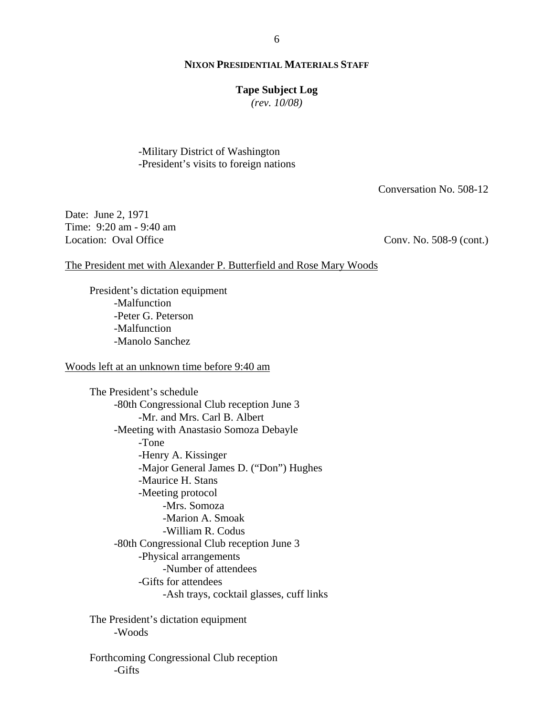#### **Tape Subject Log**

*(rev. 10/08)*

-Military District of Washington -President's visits to foreign nations

Conversation No. 508-12

Date: June 2, 1971 Time: 9:20 am - 9:40 am Location: Oval Office

Conv. No. 508-9 (cont.)

#### The President met with Alexander P. Butterfield and Rose Mary Woods

President's dictation equipment -Malfunction -Peter G. Peterson -Malfunction -Manolo Sanchez

Woods left at an unknown time before 9:40 am

The President's schedule -80th Congressional Club reception June 3 -Mr. and Mrs. Carl B. Albert -Meeting with Anastasio Somoza Debayle -Tone -Henry A. Kissinger -Major General James D. ("Don") Hughes -Maurice H. Stans -Meeting protocol -Mrs. Somoza -Marion A. Smoak -William R. Codus -80th Congressional Club reception June 3 -Physical arrangements -Number of attendees -Gifts for attendees -Ash trays, cocktail glasses, cuff links

The President's dictation equipment -Woods

Forthcoming Congressional Club reception -Gifts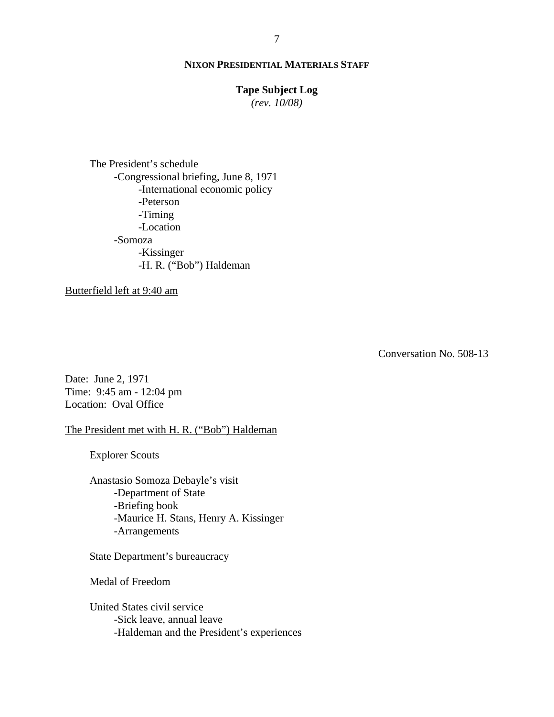### **Tape Subject Log**

*(rev. 10/08)*

The President's schedule -Congressional briefing, June 8, 1971 -International economic policy -Peterson -Timing -Location -Somoza -Kissinger -H. R. ("Bob") Haldeman

Butterfield left at 9:40 am

Conversation No. 508-13

Date: June 2, 1971 Time: 9:45 am - 12:04 pm Location: Oval Office

The President met with H. R. ("Bob") Haldeman

Explorer Scouts

Anastasio Somoza Debayle's visit -Department of State -Briefing book -Maurice H. Stans, Henry A. Kissinger -Arrangements

State Department's bureaucracy

Medal of Freedom

United States civil service -Sick leave, annual leave -Haldeman and the President's experiences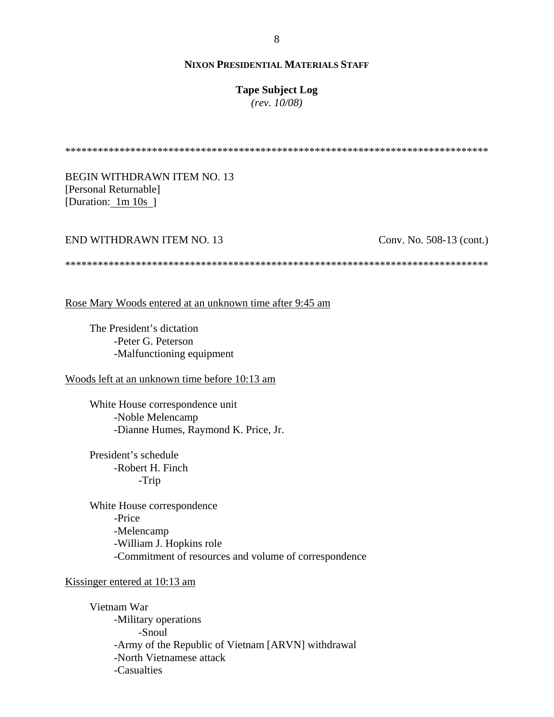#### **Tape Subject Log**

*(rev. 10/08)*

\*\*\*\*\*\*\*\*\*\*\*\*\*\*\*\*\*\*\*\*\*\*\*\*\*\*\*\*\*\*\*\*\*\*\*\*\*\*\*\*\*\*\*\*\*\*\*\*\*\*\*\*\*\*\*\*\*\*\*\*\*\*\*\*\*\*\*\*\*\*\*\*\*\*\*\*\*\*

BEGIN WITHDRAWN ITEM NO. 13 [Personal Returnable] [Duration: 1m 10s ]

#### END WITHDRAWN ITEM NO. 13

Conv. No. 508-13 (cont.)

\*\*\*\*\*\*\*\*\*\*\*\*\*\*\*\*\*\*\*\*\*\*\*\*\*\*\*\*\*\*\*\*\*\*\*\*\*\*\*\*\*\*\*\*\*\*\*\*\*\*\*\*\*\*\*\*\*\*\*\*\*\*\*\*\*\*\*\*\*\*\*\*\*\*\*\*\*\*

Rose Mary Woods entered at an unknown time after 9:45 am

The President's dictation -Peter G. Peterson -Malfunctioning equipment

# Woods left at an unknown time before 10:13 am

White House correspondence unit -Noble Melencamp -Dianne Humes, Raymond K. Price, Jr.

President's schedule -Robert H. Finch -Trip

White House correspondence -Price -Melencamp -William J. Hopkins role -Commitment of resources and volume of correspondence

Kissinger entered at 10:13 am

Vietnam War -Military operations -Snoul -Army of the Republic of Vietnam [ARVN] withdrawal -North Vietnamese attack -Casualties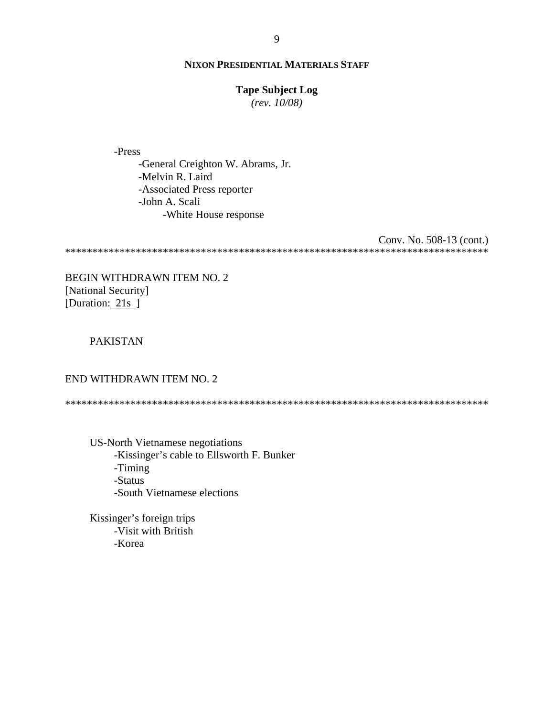### **Tape Subject Log**

 $(rev. 10/08)$ 

-Press

-General Creighton W. Abrams, Jr. -Melvin R. Laird -Associated Press reporter -John A. Scali -White House response

Conv. No. 508-13 (cont.) 

BEGIN WITHDRAWN ITEM NO. 2 [National Security] [Duration:  $21s$ ]

# **PAKISTAN**

# END WITHDRAWN ITEM NO. 2

US-North Vietnamese negotiations -Kissinger's cable to Ellsworth F. Bunker -Timing -Status -South Vietnamese elections

Kissinger's foreign trips -Visit with British -Korea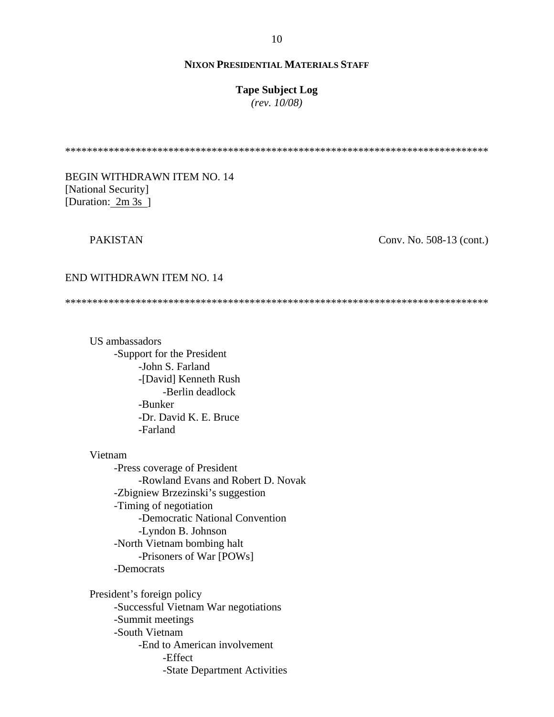#### **Tape Subject Log**

*(rev. 10/08)*

\*\*\*\*\*\*\*\*\*\*\*\*\*\*\*\*\*\*\*\*\*\*\*\*\*\*\*\*\*\*\*\*\*\*\*\*\*\*\*\*\*\*\*\*\*\*\*\*\*\*\*\*\*\*\*\*\*\*\*\*\*\*\*\*\*\*\*\*\*\*\*\*\*\*\*\*\*\*

# BEGIN WITHDRAWN ITEM NO. 14 [National Security] [Duration: 2m 3s ]

# PAKISTAN

Conv. No. 508-13 (cont.)

#### END WITHDRAWN ITEM NO. 14

\*\*\*\*\*\*\*\*\*\*\*\*\*\*\*\*\*\*\*\*\*\*\*\*\*\*\*\*\*\*\*\*\*\*\*\*\*\*\*\*\*\*\*\*\*\*\*\*\*\*\*\*\*\*\*\*\*\*\*\*\*\*\*\*\*\*\*\*\*\*\*\*\*\*\*\*\*\*

US ambassadors -Support for the President -John S. Farland -[David] Kenneth Rush -Berlin deadlock -Bunker -Dr. David K. E. Bruce -Farland

Vietnam

-Press coverage of President -Rowland Evans and Robert D. Novak -Zbigniew Brzezinski's suggestion -Timing of negotiation -Democratic National Convention -Lyndon B. Johnson -North Vietnam bombing halt -Prisoners of War [POWs] -Democrats

President's foreign policy -Successful Vietnam War negotiations -Summit meetings -South Vietnam -End to American involvement -Effect -State Department Activities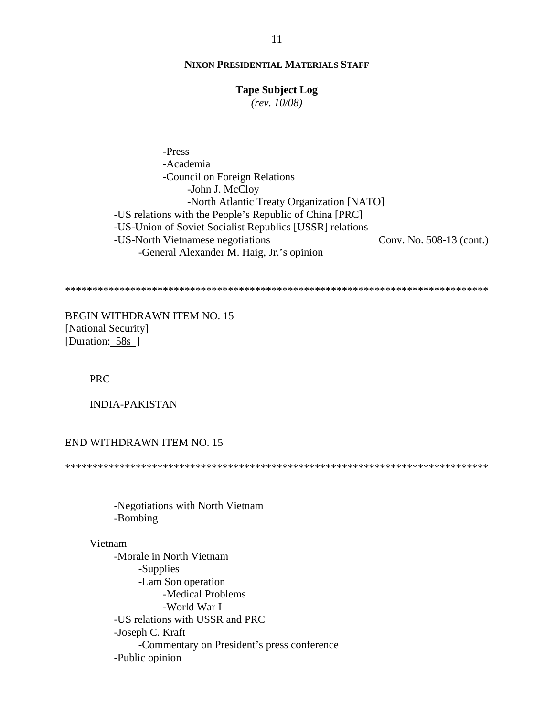### **Tape Subject Log**

 $(rev. 10/08)$ 

-Press -Academia -Council on Foreign Relations -John J. McCloy -North Atlantic Treaty Organization [NATO] -US relations with the People's Republic of China [PRC] -US-Union of Soviet Socialist Republics [USSR] relations -US-North Vietnamese negotiations Conv. No. 508-13 (cont.) -General Alexander M. Haig, Jr.'s opinion

**BEGIN WITHDRAWN ITEM NO. 15** [National Security] [Duration: 58s]

**PRC** 

**INDIA-PAKISTAN** 

**END WITHDRAWN ITEM NO. 15** 

-Negotiations with North Vietnam -Bombing

# Vietnam

-Morale in North Vietnam -Supplies -Lam Son operation -Medical Problems -World War I -US relations with USSR and PRC -Joseph C. Kraft -Commentary on President's press conference -Public opinion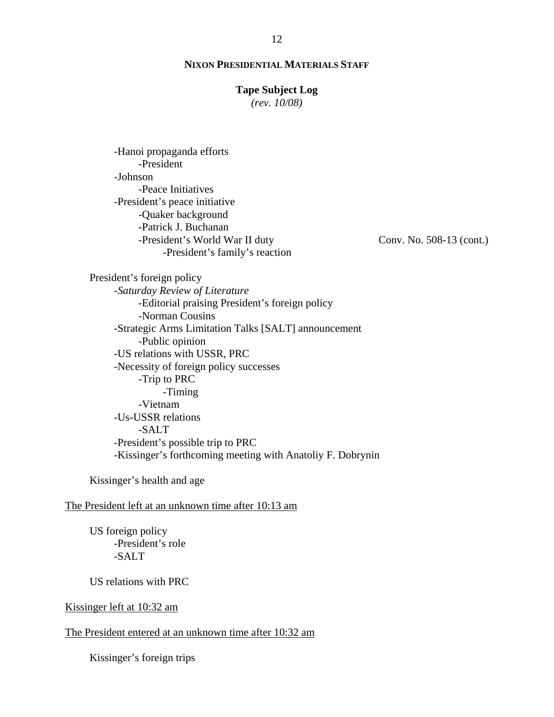#### **Tape Subject Log**

*(rev. 10/08)*

-Hanoi propaganda efforts -President -Johnson -Peace Initiatives -President's peace initiative -Quaker background -Patrick J. Buchanan -President's World War II duty -President's family's reaction

Conv. No. 508-13 (cont.)

President's foreign policy -*Saturday Review of Literature* -Editorial praising President's foreign policy -Norman Cousins -Strategic Arms Limitation Talks [SALT] announcement -Public opinion -US relations with USSR, PRC -Necessity of foreign policy successes -Trip to PRC -Timing -Vietnam -Us-USSR relations -SALT -President's possible trip to PRC -Kissinger's forthcoming meeting with Anatoliy F. Dobrynin

Kissinger's health and age

# The President left at an unknown time after 10:13 am

US foreign policy -President's role -SALT

US relations with PRC

Kissinger left at 10:32 am

The President entered at an unknown time after 10:32 am

Kissinger's foreign trips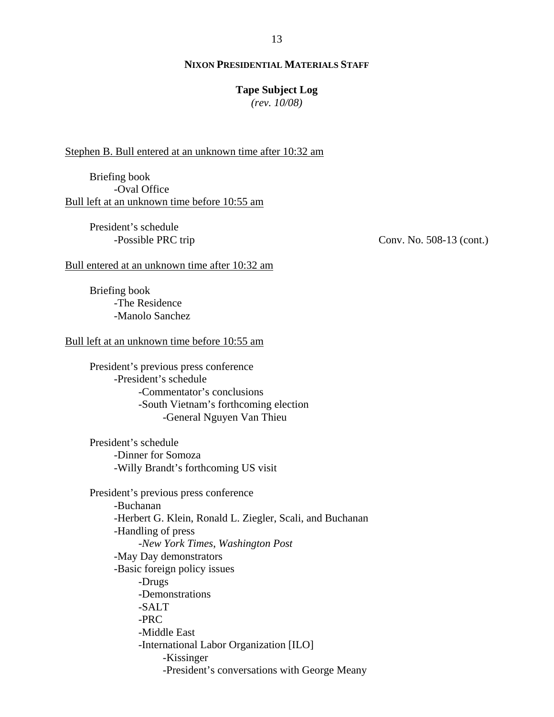#### **Tape Subject Log**

*(rev. 10/08)*

#### Stephen B. Bull entered at an unknown time after 10:32 am

Briefing book -Oval Office Bull left at an unknown time before 10:55 am

> President's schedule -Possible PRC trip

Conv. No. 508-13 (cont.)

#### Bull entered at an unknown time after 10:32 am

Briefing book -The Residence -Manolo Sanchez

#### Bull left at an unknown time before 10:55 am

President's previous press conference -President's schedule -Commentator's conclusions -South Vietnam's forthcoming election -General Nguyen Van Thieu

President's schedule -Dinner for Somoza -Willy Brandt's forthcoming US visit

President's previous press conference -Buchanan -Herbert G. Klein, Ronald L. Ziegler, Scali, and Buchanan -Handling of press -*New York Times*, *Washington Post* -May Day demonstrators -Basic foreign policy issues -Drugs -Demonstrations -SALT  $-PRC$ -Middle East -International Labor Organization [ILO] -Kissinger -President's conversations with George Meany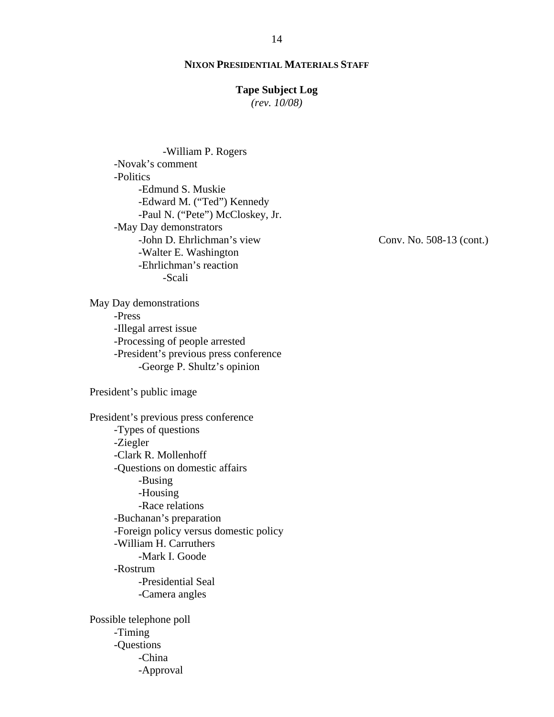### **Tape Subject Log**

*(rev. 10/08)*

-William P. Rogers -Novak's comment -Politics -Edmund S. Muskie -Edward M. ("Ted") Kennedy -Paul N. ("Pete") McCloskey, Jr. -May Day demonstrators -John D. Ehrlichman's view -Walter E. Washington -Ehrlichman's reaction -Scali

May Day demonstrations -Press -Illegal arrest issue -Processing of people arrested -President's previous press conference -George P. Shultz's opinion

President's public image

-Questions

-China -Approval

President's previous press conference -Types of questions -Ziegler -Clark R. Mollenhoff -Questions on domestic affairs -Busing -Housing -Race relations -Buchanan's preparation -Foreign policy versus domestic policy -William H. Carruthers -Mark I. Goode -Rostrum -Presidential Seal -Camera angles Possible telephone poll -Timing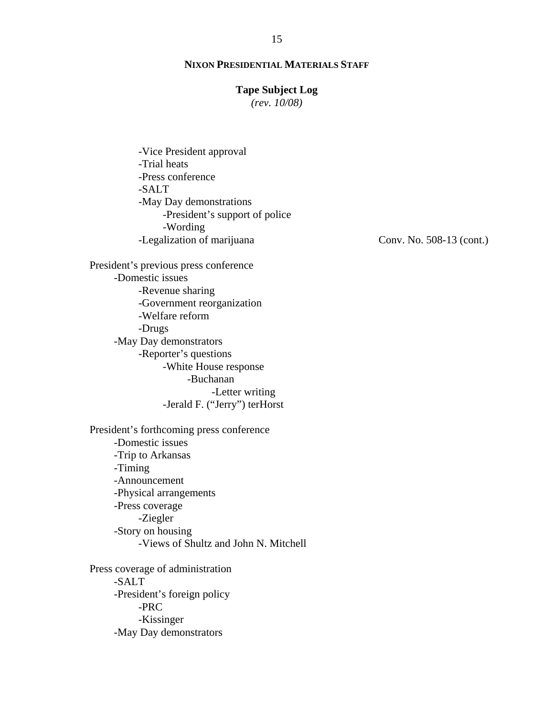## **Tape Subject Log**

*(rev. 10/08)*

-Vice President approval -Trial heats -Press conference -SALT -May Day demonstrations -President's support of police -Wording -Legalization of marijuana

Conv. No. 508-13 (cont.)

President's previous press conference -Domestic issues -Revenue sharing -Government reorganization -Welfare reform -Drugs -May Day demonstrators -Reporter's questions -White House response -Buchanan -Letter writing -Jerald F. ("Jerry") terHorst

President's forthcoming press conference -Domestic issues -Trip to Arkansas -Timing -Announcement -Physical arrangements -Press coverage -Ziegler -Story on housing -Views of Shultz and John N. Mitchell

Press coverage of administration -SALT -President's foreign policy -PRC -Kissinger -May Day demonstrators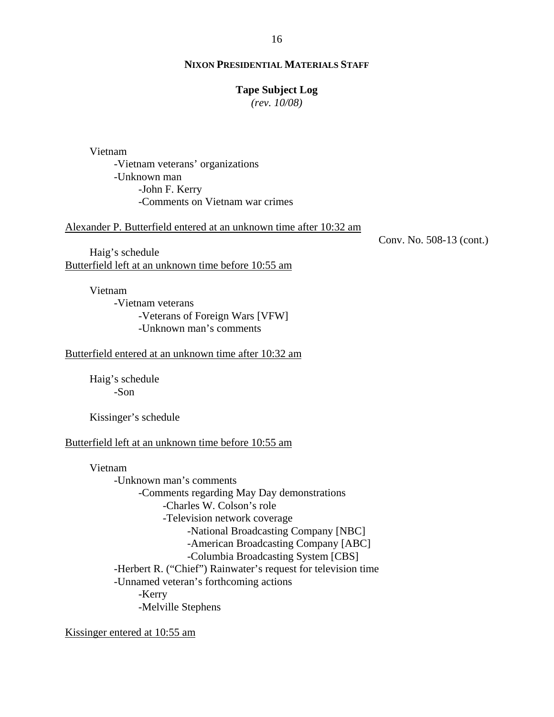#### **Tape Subject Log**

*(rev. 10/08)*

Vietnam

-Vietnam veterans' organizations -Unknown man -John F. Kerry -Comments on Vietnam war crimes

Alexander P. Butterfield entered at an unknown time after 10:32 am

Haig's schedule Butterfield left at an unknown time before 10:55 am

> Vietnam -Vietnam veterans -Veterans of Foreign Wars [VFW] -Unknown man's comments

Butterfield entered at an unknown time after 10:32 am

Haig's schedule -Son

Kissinger's schedule

#### Butterfield left at an unknown time before 10:55 am

Vietnam -Unknown man's comments -Comments regarding May Day demonstrations -Charles W. Colson's role -Television network coverage -National Broadcasting Company [NBC] -American Broadcasting Company [ABC] -Columbia Broadcasting System [CBS] -Herbert R. ("Chief") Rainwater's request for television time -Unnamed veteran's forthcoming actions -Kerry -Melville Stephens

Kissinger entered at 10:55 am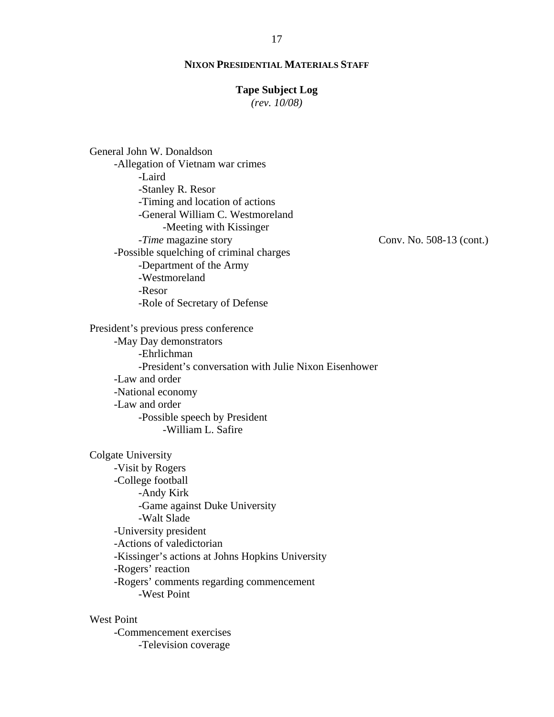#### **Tape Subject Log**

*(rev. 10/08)*

Conv. No. 508-13 (cont.) General John W. Donaldson -Allegation of Vietnam war crimes -Laird -Stanley R. Resor -Timing and location of actions -General William C. Westmoreland -Meeting with Kissinger -*Time* magazine story -Possible squelching of criminal charges -Department of the Army -Westmoreland -Resor -Role of Secretary of Defense President's previous press conference -May Day demonstrators -Ehrlichman -President's conversation with Julie Nixon Eisenhower -Law and order -National economy -Law and order -Possible speech by President -William L. Safire Colgate University -Visit by Rogers -College football -Andy Kirk -Game against Duke University -Walt Slade -University president -Actions of valedictorian -Kissinger's actions at Johns Hopkins University -Rogers' reaction -Rogers' comments regarding commencement -West Point West Point

-Commencement exercises -Television coverage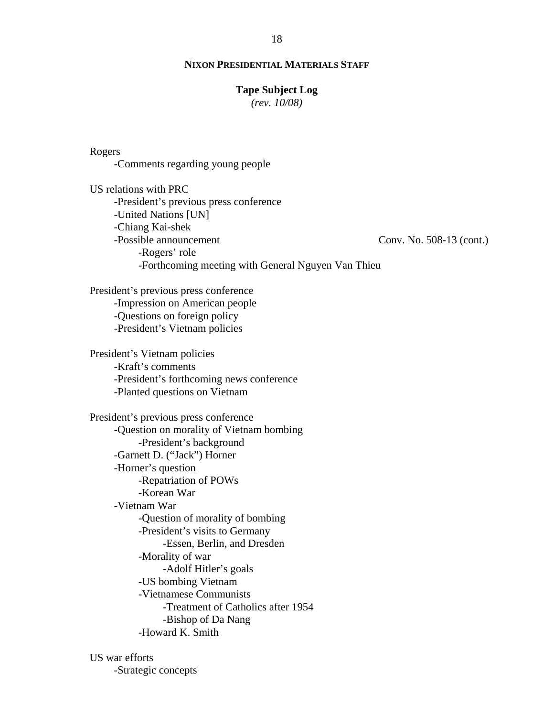#### **Tape Subject Log**

*(rev. 10/08)*

### Rogers

-Comments regarding young people

Conv. No. 508-13 (cont.) US relations with PRC -President's previous press conference -United Nations [UN] -Chiang Kai-shek -Possible announcement -Rogers' role -Forthcoming meeting with General Nguyen Van Thieu

President's previous press conference -Impression on American people -Questions on foreign policy -President's Vietnam policies

President's Vietnam policies -Kraft's comments -President's forthcoming news conference -Planted questions on Vietnam

President's previous press conference -Question on morality of Vietnam bombing -President's background -Garnett D. ("Jack") Horner -Horner's question -Repatriation of POWs -Korean War -Vietnam War -Question of morality of bombing -President's visits to Germany -Essen, Berlin, and Dresden -Morality of war -Adolf Hitler's goals -US bombing Vietnam -Vietnamese Communists -Treatment of Catholics after 1954 -Bishop of Da Nang -Howard K. Smith

US war efforts -Strategic concepts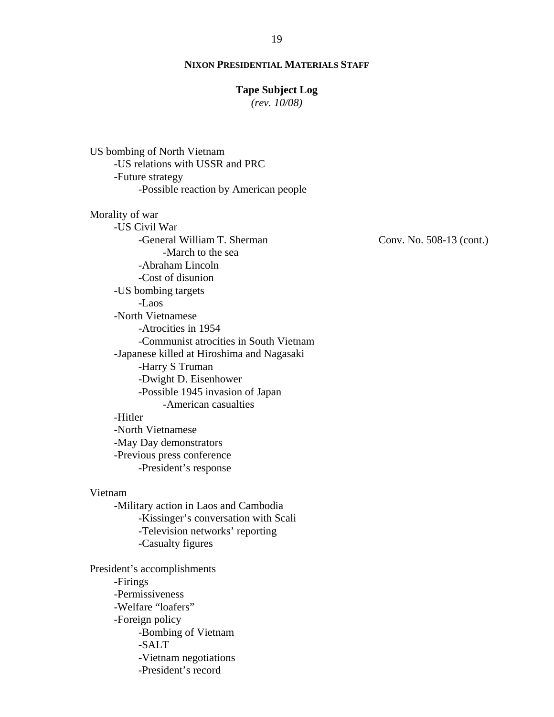#### **Tape Subject Log**

*(rev. 10/08)*

US bombing of North Vietnam -US relations with USSR and PRC -Future strategy -Possible reaction by American people Morality of war

-US Civil War -General William T. Sherman -March to the sea -Abraham Lincoln -Cost of disunion -US bombing targets -Laos -North Vietnamese -Atrocities in 1954 -Communist atrocities in South Vietnam -Japanese killed at Hiroshima and Nagasaki -Harry S Truman -Dwight D. Eisenhower -Possible 1945 invasion of Japan -American casualties -Hitler -North Vietnamese -May Day demonstrators

-Previous press conference -President's response

Vietnam

-Military action in Laos and Cambodia -Kissinger's conversation with Scali -Television networks' reporting -Casualty figures

President's accomplishments -Firings -Permissiveness -Welfare "loafers" -Foreign policy -Bombing of Vietnam -SALT -Vietnam negotiations -President's record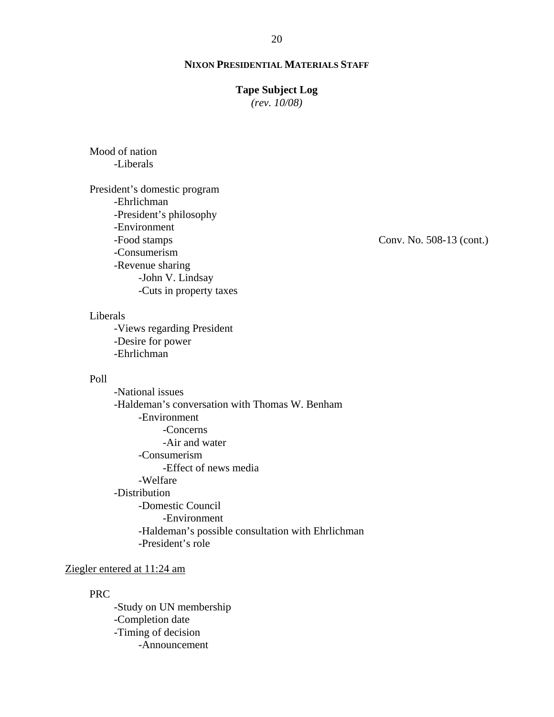### **Tape Subject Log**

*(rev. 10/08)*

# Mood of nation -Liberals

President's domestic program -Ehrlichman -President's philosophy -Environment -Food stamps -Consumerism -Revenue sharing -John V. Lindsay -Cuts in property taxes

# Liberals

-Views regarding President -Desire for power -Ehrlichman

# Poll

-National issues -Haldeman's conversation with Thomas W. Benham -Environment -Concerns -Air and water -Consumerism -Effect of news media -Welfare -Distribution -Domestic Council -Environment -Haldeman's possible consultation with Ehrlichman -President's role

# Ziegler entered at 11:24 am

#### PRC

-Study on UN membership -Completion date -Timing of decision -Announcement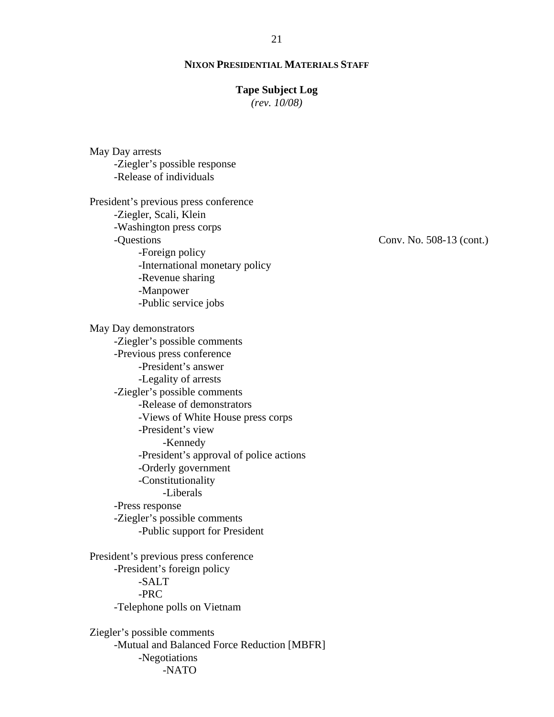#### **Tape Subject Log**

*(rev. 10/08)*

May Day arrests -Ziegler's possible response -Release of individuals President's previous press conference -Ziegler, Scali, Klein -Washington press corps -Questions -Foreign policy -International monetary policy -Revenue sharing -Manpower -Public service jobs May Day demonstrators -Ziegler's possible comments -Previous press conference -President's answer -Legality of arrests -Ziegler's possible comments -Release of demonstrators -Views of White House press corps -President's view -Kennedy -President's approval of police actions -Orderly government -Constitutionality -Liberals -Press response -Ziegler's possible comments -Public support for President President's previous press conference -President's foreign policy -SALT -PRC -Telephone polls on Vietnam Ziegler's possible comments -Mutual and Balanced Force Reduction [MBFR] -Negotiations

-NATO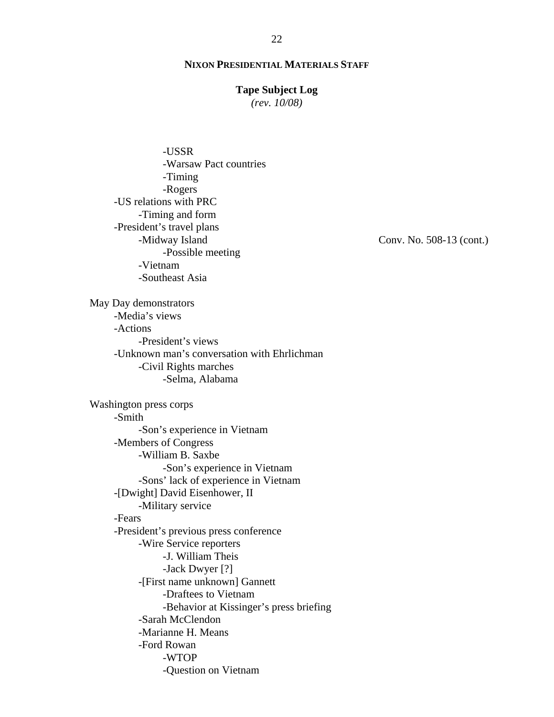### **Tape Subject Log**

*(rev. 10/08)*

Conv. No. 508-13 (cont.) -USSR -Warsaw Pact countries -Timing -Rogers -US relations with PRC -Timing and form -President's travel plans -Midway Island -Possible meeting -Vietnam -Southeast Asia May Day demonstrators -Media's views -Actions -President's views -Unknown man's conversation with Ehrlichman -Civil Rights marches -Selma, Alabama Washington press corps -Smith -Son's experience in Vietnam -Members of Congress -William B. Saxbe -Son's experience in Vietnam -Sons' lack of experience in Vietnam -[Dwight] David Eisenhower, II -Military service -Fears -President's previous press conference -Wire Service reporters -J. William Theis -Jack Dwyer [?] -[First name unknown] Gannett -Draftees to Vietnam -Behavior at Kissinger's press briefing -Sarah McClendon -Marianne H. Means -Ford Rowan -WTOP -Question on Vietnam

22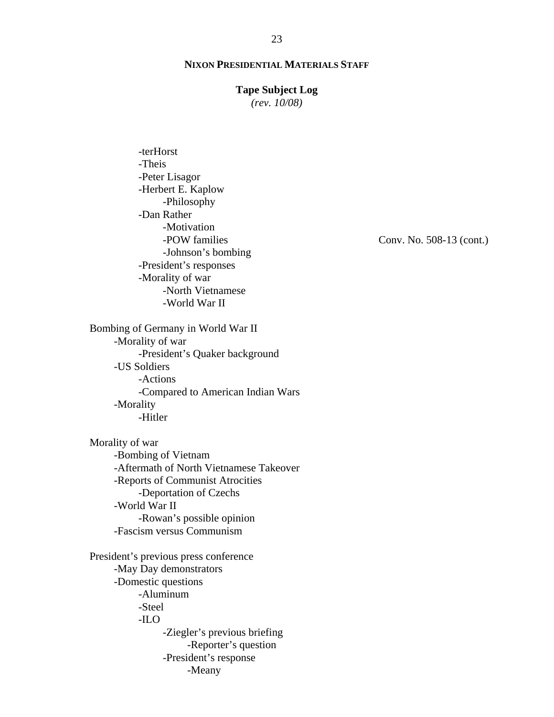#### **Tape Subject Log**

*(rev. 10/08)*

-terHorst -Theis -Peter Lisagor -Herbert E. Kaplow -Philosophy -Dan Rather -Motivation -POW families -Johnson's bombing -President's responses -Morality of war -North Vietnamese -World War II Bombing of Germany in World War II -Morality of war -President's Quaker background -US Soldiers -Actions -Compared to American Indian Wars -Morality -Hitler Morality of war -Bombing of Vietnam -Aftermath of North Vietnamese Takeover -Reports of Communist Atrocities -Deportation of Czechs -World War II -Rowan's possible opinion -Fascism versus Communism President's previous press conference -May Day demonstrators -Domestic questions -Aluminum -Steel -ILO -Ziegler's previous briefing -Reporter's question -President's response -Meany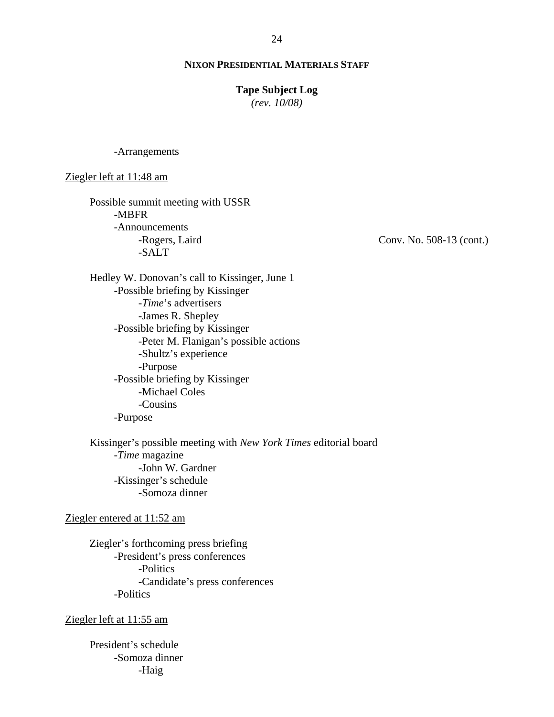#### **Tape Subject Log**

*(rev. 10/08)*

-Arrangements

Ziegler left at 11:48 am

Possible summit meeting with USSR -MBFR -Announcements -Rogers, Laird -SALT

Hedley W. Donovan's call to Kissinger, June 1 -Possible briefing by Kissinger -*Time*'s advertisers -James R. Shepley -Possible briefing by Kissinger -Peter M. Flanigan's possible actions -Shultz's experience -Purpose -Possible briefing by Kissinger -Michael Coles -Cousins -Purpose

Kissinger's possible meeting with *New York Times* editorial board -*Time* magazine -John W. Gardner -Kissinger's schedule -Somoza dinner

#### Ziegler entered at 11:52 am

Ziegler's forthcoming press briefing -President's press conferences -Politics -Candidate's press conferences -Politics

Ziegler left at 11:55 am

President's schedule -Somoza dinner -Haig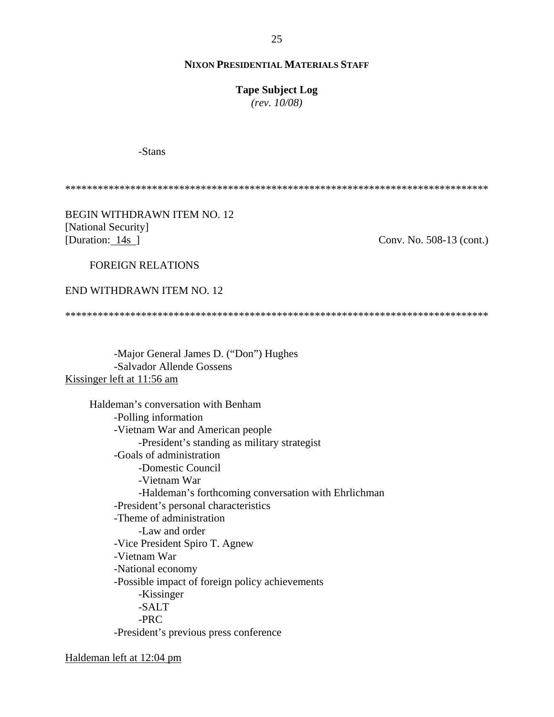**Tape Subject Log**

*(rev. 10/08)*

-Stans

\*\*\*\*\*\*\*\*\*\*\*\*\*\*\*\*\*\*\*\*\*\*\*\*\*\*\*\*\*\*\*\*\*\*\*\*\*\*\*\*\*\*\*\*\*\*\*\*\*\*\*\*\*\*\*\*\*\*\*\*\*\*\*\*\*\*\*\*\*\*\*\*\*\*\*\*\*\*

BEGIN WITHDRAWN ITEM NO. 12 [National Security] [Duration: 14s ]

Conv. No. 508-13 (cont.)

FOREIGN RELATIONS

END WITHDRAWN ITEM NO. 12

\*\*\*\*\*\*\*\*\*\*\*\*\*\*\*\*\*\*\*\*\*\*\*\*\*\*\*\*\*\*\*\*\*\*\*\*\*\*\*\*\*\*\*\*\*\*\*\*\*\*\*\*\*\*\*\*\*\*\*\*\*\*\*\*\*\*\*\*\*\*\*\*\*\*\*\*\*\*

-Major General James D. ("Don") Hughes -Salvador Allende Gossens Kissinger left at 11:56 am

> Haldeman's conversation with Benham -Polling information -Vietnam War and American people -President's standing as military strategist -Goals of administration -Domestic Council -Vietnam War -Haldeman's forthcoming conversation with Ehrlichman -President's personal characteristics -Theme of administration -Law and order -Vice President Spiro T. Agnew -Vietnam War -National economy -Possible impact of foreign policy achievements -Kissinger -SALT -PRC -President's previous press conference

Haldeman left at 12:04 pm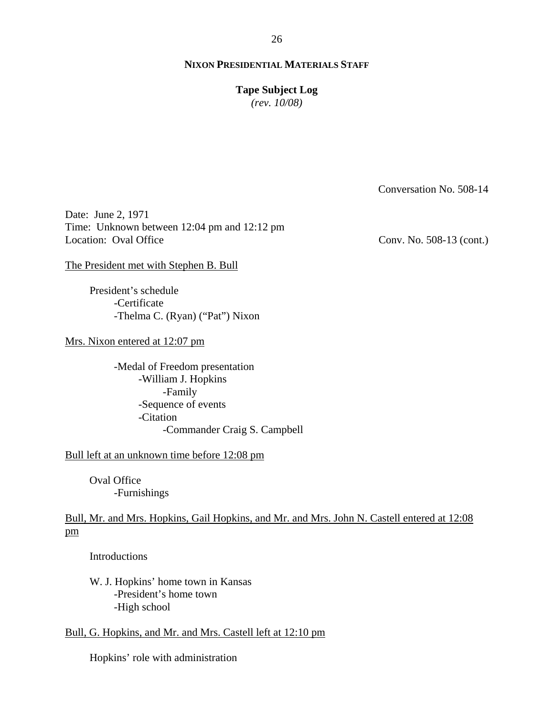**Tape Subject Log**

*(rev. 10/08)*

Conversation No. 508-14

Date: June 2, 1971 Time: Unknown between 12:04 pm and 12:12 pm Location: Oval Office

Conv. No. 508-13 (cont.)

The President met with Stephen B. Bull

President's schedule -Certificate -Thelma C. (Ryan) ("Pat") Nixon

Mrs. Nixon entered at 12:07 pm

-Medal of Freedom presentation -William J. Hopkins -Family -Sequence of events -Citation -Commander Craig S. Campbell

Bull left at an unknown time before 12:08 pm

Oval Office -Furnishings

Bull, Mr. and Mrs. Hopkins, Gail Hopkins, and Mr. and Mrs. John N. Castell entered at 12:08 pm

Introductions

W. J. Hopkins' home town in Kansas -President's home town -High school

Bull, G. Hopkins, and Mr. and Mrs. Castell left at 12:10 pm

Hopkins' role with administration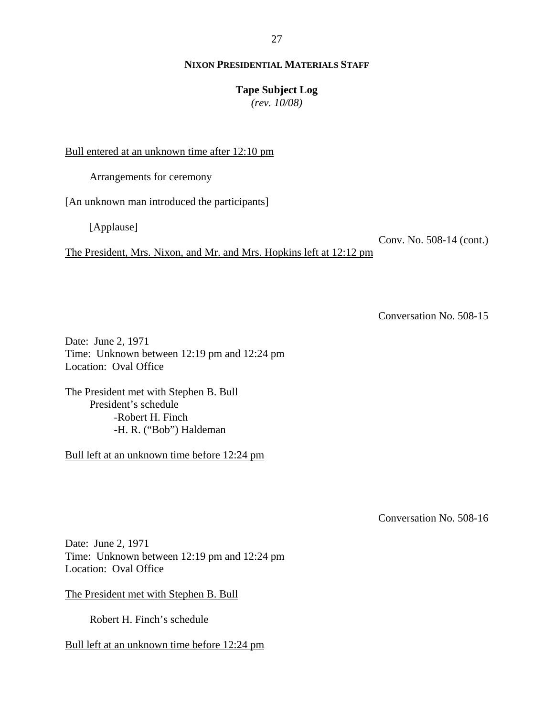**Tape Subject Log**

*(rev. 10/08)*

Bull entered at an unknown time after 12:10 pm

Arrangements for ceremony

[An unknown man introduced the participants]

[Applause]

Conv. No. 508-14 (cont.)

The President, Mrs. Nixon, and Mr. and Mrs. Hopkins left at 12:12 pm

Conversation No. 508-15

Date: June 2, 1971 Time: Unknown between 12:19 pm and 12:24 pm Location: Oval Office

The President met with Stephen B. Bull President's schedule -Robert H. Finch -H. R. ("Bob") Haldeman

Bull left at an unknown time before 12:24 pm

Conversation No. 508-16

Date: June 2, 1971 Time: Unknown between 12:19 pm and 12:24 pm Location: Oval Office

The President met with Stephen B. Bull

Robert H. Finch's schedule

Bull left at an unknown time before 12:24 pm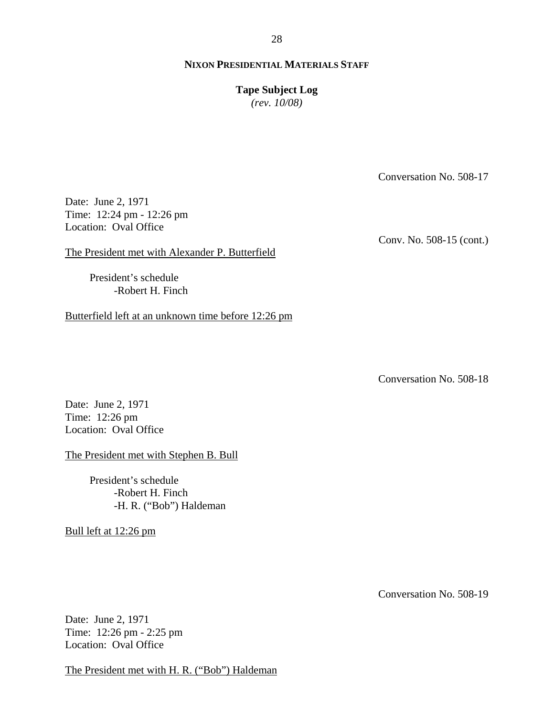**Tape Subject Log**

*(rev. 10/08)*

Conversation No. 508-17

Date: June 2, 1971 Time: 12:24 pm - 12:26 pm Location: Oval Office

Conv. No. 508-15 (cont.)

The President met with Alexander P. Butterfield

President's schedule -Robert H. Finch

Butterfield left at an unknown time before 12:26 pm

Conversation No. 508-18

Date: June 2, 1971 Time: 12:26 pm Location: Oval Office

The President met with Stephen B. Bull

President's schedule -Robert H. Finch -H. R. ("Bob") Haldeman

Bull left at 12:26 pm

Conversation No. 508-19

Date: June 2, 1971 Time: 12:26 pm - 2:25 pm Location: Oval Office

The President met with H. R. ("Bob") Haldeman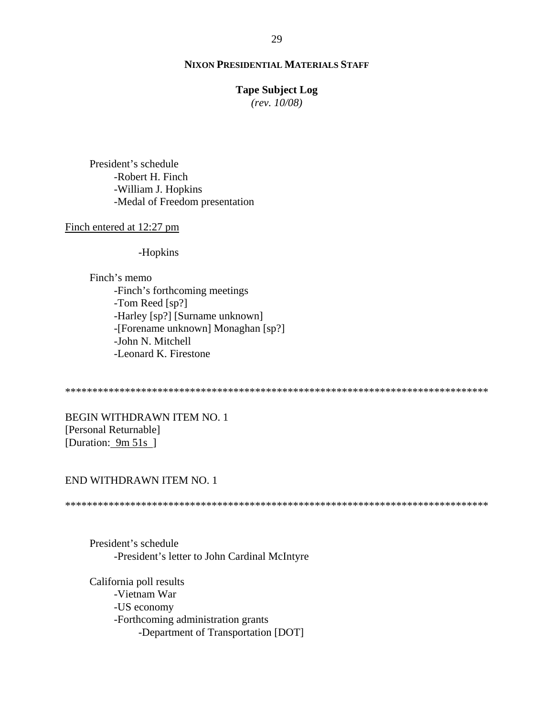#### **Tape Subject Log**

*(rev. 10/08)*

President's schedule -Robert H. Finch -William J. Hopkins -Medal of Freedom presentation

#### Finch entered at 12:27 pm

-Hopkins

Finch's memo -Finch's forthcoming meetings -Tom Reed [sp?] -Harley [sp?] [Surname unknown] -[Forename unknown] Monaghan [sp?] -John N. Mitchell -Leonard K. Firestone

\*\*\*\*\*\*\*\*\*\*\*\*\*\*\*\*\*\*\*\*\*\*\*\*\*\*\*\*\*\*\*\*\*\*\*\*\*\*\*\*\*\*\*\*\*\*\*\*\*\*\*\*\*\*\*\*\*\*\*\*\*\*\*\*\*\*\*\*\*\*\*\*\*\*\*\*\*\*

BEGIN WITHDRAWN ITEM NO. 1 [Personal Returnable] [Duration: 9m 51s]

# END WITHDRAWN ITEM NO. 1

\*\*\*\*\*\*\*\*\*\*\*\*\*\*\*\*\*\*\*\*\*\*\*\*\*\*\*\*\*\*\*\*\*\*\*\*\*\*\*\*\*\*\*\*\*\*\*\*\*\*\*\*\*\*\*\*\*\*\*\*\*\*\*\*\*\*\*\*\*\*\*\*\*\*\*\*\*\*

President's schedule -President's letter to John Cardinal McIntyre

California poll results -Vietnam War -US economy -Forthcoming administration grants -Department of Transportation [DOT]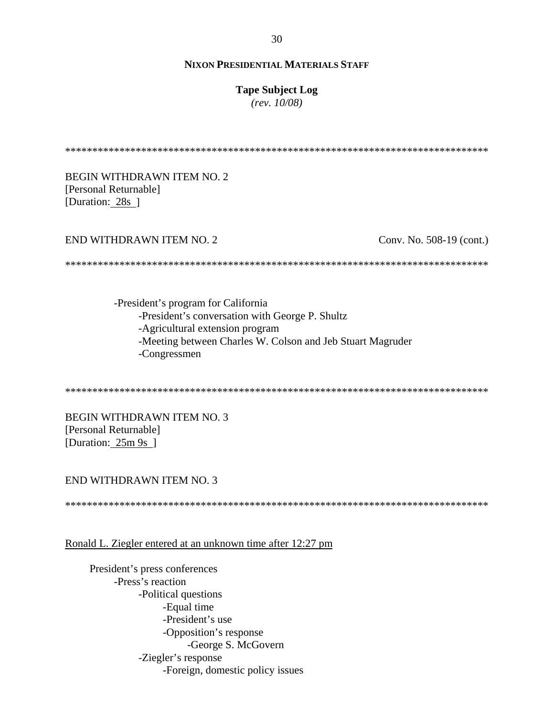#### **Tape Subject Log**

 $(rev. 10/08)$ 

**BEGIN WITHDRAWN ITEM NO. 2.** [Personal Returnable] [Duration: 28s ]

### END WITHDRAWN ITEM NO. 2

Conv. No. 508-19 (cont.)

-President's program for California -President's conversation with George P. Shultz -Agricultural extension program -Meeting between Charles W. Colson and Jeb Stuart Magruder -Congressmen

**BEGIN WITHDRAWN ITEM NO. 3** [Personal Returnable] [Duration:  $25m 9s$ ]

### END WITHDRAWN ITEM NO. 3

Ronald L. Ziegler entered at an unknown time after 12:27 pm

President's press conferences -Press's reaction -Political questions -Equal time -President's use -Opposition's response -George S. McGovern -Ziegler's response -Foreign, domestic policy issues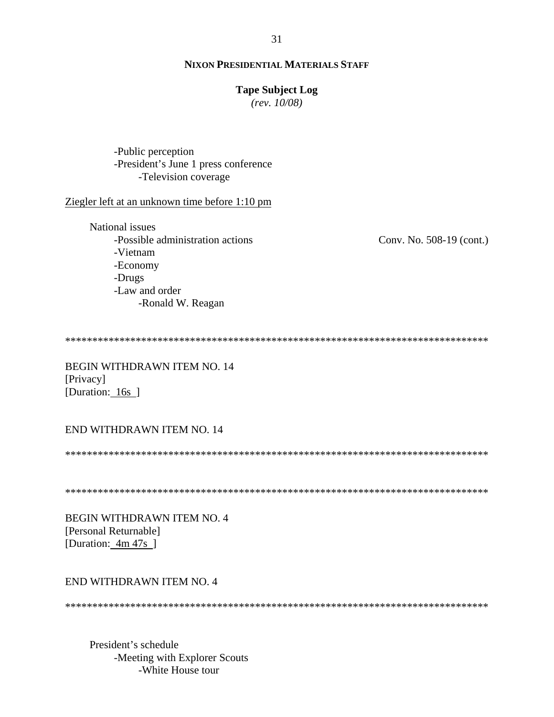#### **Tape Subject Log**

 $(rev. 10/08)$ 

-Public perception -President's June 1 press conference -Television coverage

#### Ziegler left at an unknown time before 1:10 pm

National issues -Possible administration actions -Vietnam -Economy -Drugs -Law and order -Ronald W. Reagan

Conv. No. 508-19 (cont.)

**BEGIN WITHDRAWN ITEM NO. 14** [Privacy] [Duration: 16s ]

# END WITHDRAWN ITEM NO. 14

BEGIN WITHDRAWN ITEM NO. 4 [Personal Returnable] [Duration:  $4m 47s$ ]

#### END WITHDRAWN ITEM NO. 4

President's schedule -Meeting with Explorer Scouts -White House tour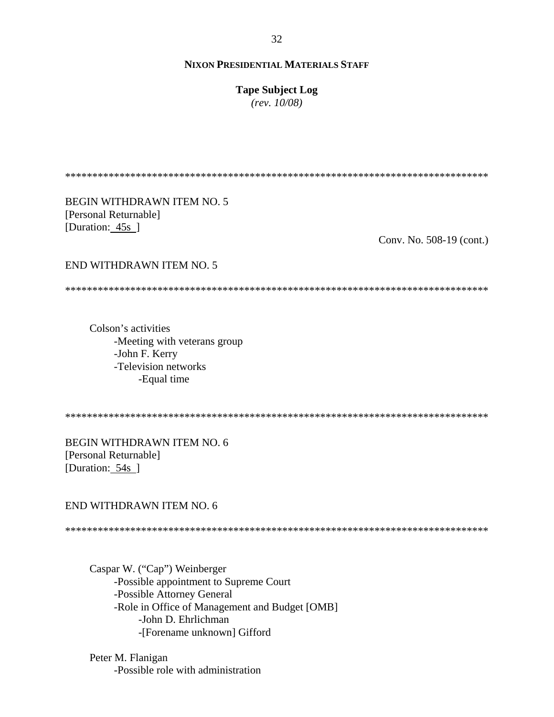**Tape Subject Log**

*(rev. 10/08)*

\*\*\*\*\*\*\*\*\*\*\*\*\*\*\*\*\*\*\*\*\*\*\*\*\*\*\*\*\*\*\*\*\*\*\*\*\*\*\*\*\*\*\*\*\*\*\*\*\*\*\*\*\*\*\*\*\*\*\*\*\*\*\*\*\*\*\*\*\*\*\*\*\*\*\*\*\*\*

BEGIN WITHDRAWN ITEM NO. 5 [Personal Returnable] [Duration: 45s]

Conv. No. 508-19 (cont.)

### END WITHDRAWN ITEM NO. 5

\*\*\*\*\*\*\*\*\*\*\*\*\*\*\*\*\*\*\*\*\*\*\*\*\*\*\*\*\*\*\*\*\*\*\*\*\*\*\*\*\*\*\*\*\*\*\*\*\*\*\*\*\*\*\*\*\*\*\*\*\*\*\*\*\*\*\*\*\*\*\*\*\*\*\*\*\*\*

Colson's activities -Meeting with veterans group -John F. Kerry -Television networks -Equal time

\*\*\*\*\*\*\*\*\*\*\*\*\*\*\*\*\*\*\*\*\*\*\*\*\*\*\*\*\*\*\*\*\*\*\*\*\*\*\*\*\*\*\*\*\*\*\*\*\*\*\*\*\*\*\*\*\*\*\*\*\*\*\*\*\*\*\*\*\*\*\*\*\*\*\*\*\*\*

BEGIN WITHDRAWN ITEM NO. 6 [Personal Returnable] [Duration: 54s ]

#### END WITHDRAWN ITEM NO. 6

\*\*\*\*\*\*\*\*\*\*\*\*\*\*\*\*\*\*\*\*\*\*\*\*\*\*\*\*\*\*\*\*\*\*\*\*\*\*\*\*\*\*\*\*\*\*\*\*\*\*\*\*\*\*\*\*\*\*\*\*\*\*\*\*\*\*\*\*\*\*\*\*\*\*\*\*\*\*

Caspar W. ("Cap") Weinberger -Possible appointment to Supreme Court -Possible Attorney General -Role in Office of Management and Budget [OMB] -John D. Ehrlichman -[Forename unknown] Gifford

Peter M. Flanigan -Possible role with administration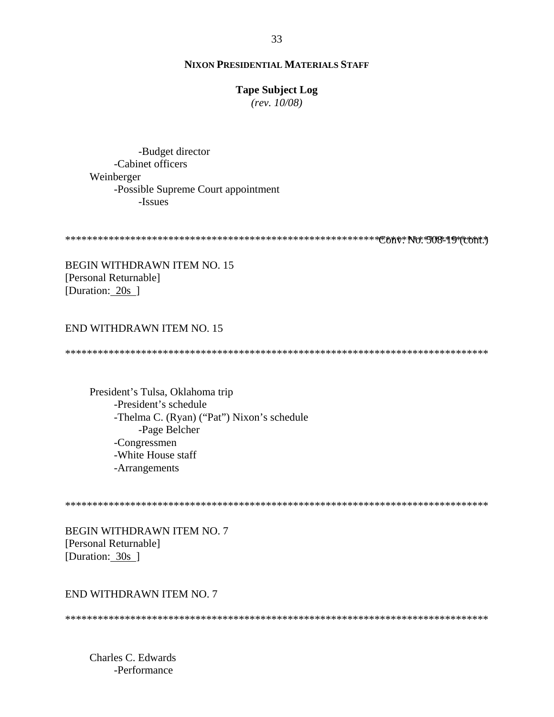## **Tape Subject Log**

*(rev. 10/08)*

-Budget director -Cabinet officers Weinberger -Possible Supreme Court appointment -Issues

\*\*\*\*\*\*\*\*\*\*\*\*\*\*\*\*\*\*\*\*\*\*\*\*\*\*\*\*\*\*\*\*\*\*\*\*\*\*\*\*\*\*\*\*\*\*\*\*\*\*\*\*\*\*\*\*\*\*\*\*\*\*\*\*\*\*\*\*\*\*\*\*\*\*\*\*\*\* Conv. No. 508-19 (cont.)

BEGIN WITHDRAWN ITEM NO. 15 [Personal Returnable] [Duration: 20s ]

### END WITHDRAWN ITEM NO. 15

\*\*\*\*\*\*\*\*\*\*\*\*\*\*\*\*\*\*\*\*\*\*\*\*\*\*\*\*\*\*\*\*\*\*\*\*\*\*\*\*\*\*\*\*\*\*\*\*\*\*\*\*\*\*\*\*\*\*\*\*\*\*\*\*\*\*\*\*\*\*\*\*\*\*\*\*\*\*

President's Tulsa, Oklahoma trip -President's schedule -Thelma C. (Ryan) ("Pat") Nixon's schedule -Page Belcher -Congressmen -White House staff -Arrangements

\*\*\*\*\*\*\*\*\*\*\*\*\*\*\*\*\*\*\*\*\*\*\*\*\*\*\*\*\*\*\*\*\*\*\*\*\*\*\*\*\*\*\*\*\*\*\*\*\*\*\*\*\*\*\*\*\*\*\*\*\*\*\*\*\*\*\*\*\*\*\*\*\*\*\*\*\*\*

BEGIN WITHDRAWN ITEM NO. 7 [Personal Returnable] [Duration: 30s]

#### END WITHDRAWN ITEM NO. 7

\*\*\*\*\*\*\*\*\*\*\*\*\*\*\*\*\*\*\*\*\*\*\*\*\*\*\*\*\*\*\*\*\*\*\*\*\*\*\*\*\*\*\*\*\*\*\*\*\*\*\*\*\*\*\*\*\*\*\*\*\*\*\*\*\*\*\*\*\*\*\*\*\*\*\*\*\*\*

Charles C. Edwards -Performance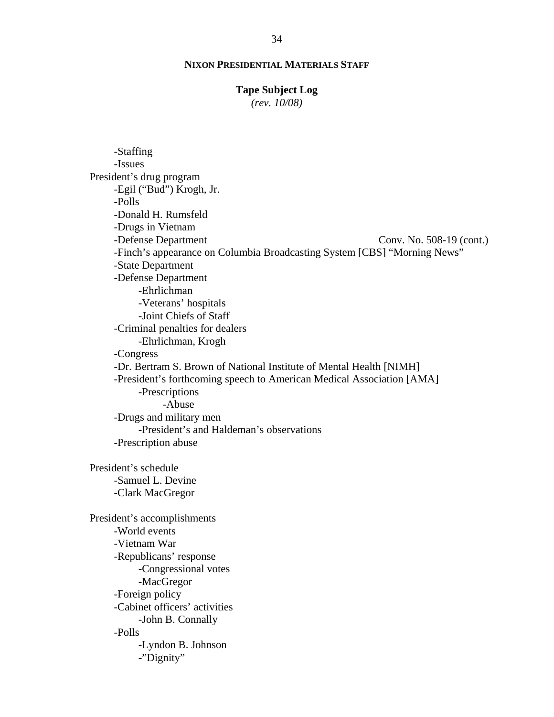#### **Tape Subject Log**

*(rev. 10/08)*

Conv. No. 508-19 (cont.) -Staffing -Issues President's drug program -Egil ("Bud") Krogh, Jr. -Polls -Donald H. Rumsfeld -Drugs in Vietnam -Defense Department -Finch's appearance on Columbia Broadcasting System [CBS] "Morning News" -State Department -Defense Department -Ehrlichman -Veterans' hospitals -Joint Chiefs of Staff -Criminal penalties for dealers -Ehrlichman, Krogh -Congress -Dr. Bertram S. Brown of National Institute of Mental Health [NIMH] -President's forthcoming speech to American Medical Association [AMA] -Prescriptions -Abuse -Drugs and military men -President's and Haldeman's observations -Prescription abuse President's schedule -Samuel L. Devine -Clark MacGregor President's accomplishments -World events -Vietnam War -Republicans' response -Congressional votes -MacGregor -Foreign policy -Cabinet officers' activities -John B. Connally -Polls -Lyndon B. Johnson -"Dignity"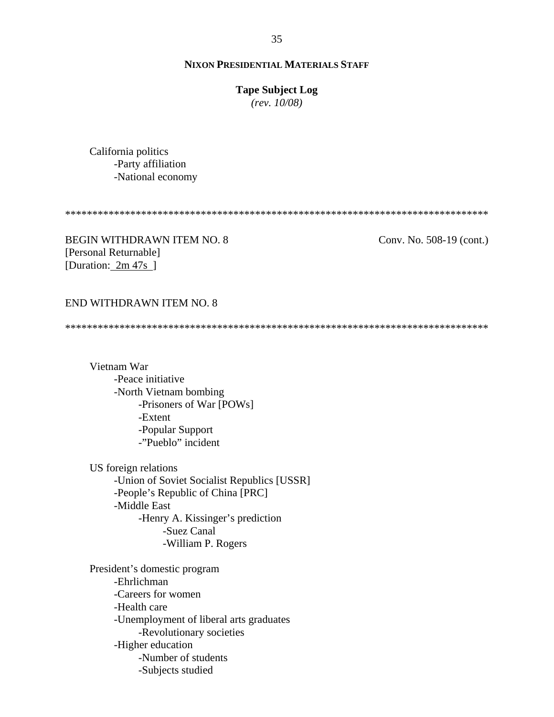#### **Tape Subject Log**

*(rev. 10/08)*

California politics -Party affiliation -National economy

\*\*\*\*\*\*\*\*\*\*\*\*\*\*\*\*\*\*\*\*\*\*\*\*\*\*\*\*\*\*\*\*\*\*\*\*\*\*\*\*\*\*\*\*\*\*\*\*\*\*\*\*\*\*\*\*\*\*\*\*\*\*\*\*\*\*\*\*\*\*\*\*\*\*\*\*\*\*

BEGIN WITHDRAWN ITEM NO. 8 [Personal Returnable] [Duration: 2m 47s]

Conv. No. 508-19 (cont.)

#### END WITHDRAWN ITEM NO. 8

\*\*\*\*\*\*\*\*\*\*\*\*\*\*\*\*\*\*\*\*\*\*\*\*\*\*\*\*\*\*\*\*\*\*\*\*\*\*\*\*\*\*\*\*\*\*\*\*\*\*\*\*\*\*\*\*\*\*\*\*\*\*\*\*\*\*\*\*\*\*\*\*\*\*\*\*\*\*

Vietnam War -Peace initiative -North Vietnam bombing -Prisoners of War [POWs] -Extent -Popular Support -"Pueblo" incident

US foreign relations -Union of Soviet Socialist Republics [USSR] -People's Republic of China [PRC] -Middle East -Henry A. Kissinger's prediction -Suez Canal -William P. Rogers

President's domestic program -Ehrlichman -Careers for women -Health care -Unemployment of liberal arts graduates -Revolutionary societies -Higher education -Number of students -Subjects studied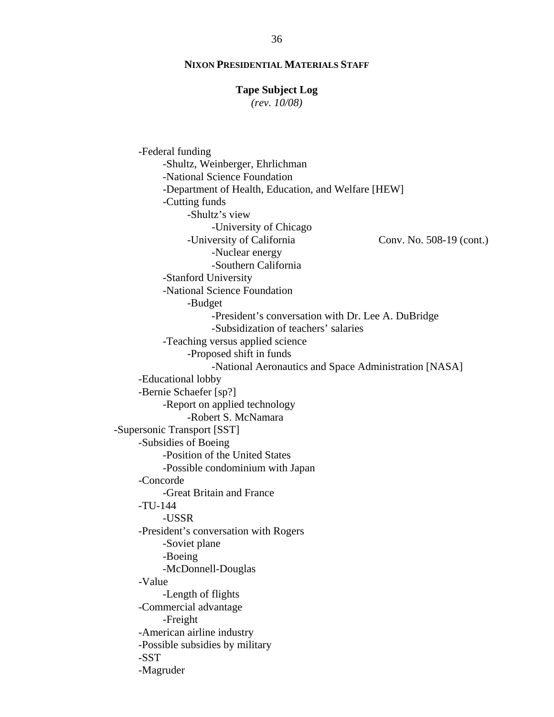#### **Tape Subject Log**

*(rev. 10/08)*

Conv. No. 508-19 (cont.) -Federal funding -Shultz, Weinberger, Ehrlichman -National Science Foundation -Department of Health, Education, and Welfare [HEW] -Cutting funds -Shultz's view -University of Chicago -University of California -Nuclear energy -Southern California -Stanford University -National Science Foundation -Budget -President's conversation with Dr. Lee A. DuBridge -Subsidization of teachers' salaries -Teaching versus applied science -Proposed shift in funds -National Aeronautics and Space Administration [NASA] -Educational lobby -Bernie Schaefer [sp?] -Report on applied technology -Robert S. McNamara -Supersonic Transport [SST] -Subsidies of Boeing -Position of the United States -Possible condominium with Japan -Concorde -Great Britain and France -TU-144 -USSR -President's conversation with Rogers -Soviet plane -Boeing -McDonnell-Douglas -Value -Length of flights -Commercial advantage -Freight -American airline industry -Possible subsidies by military -SST -Magruder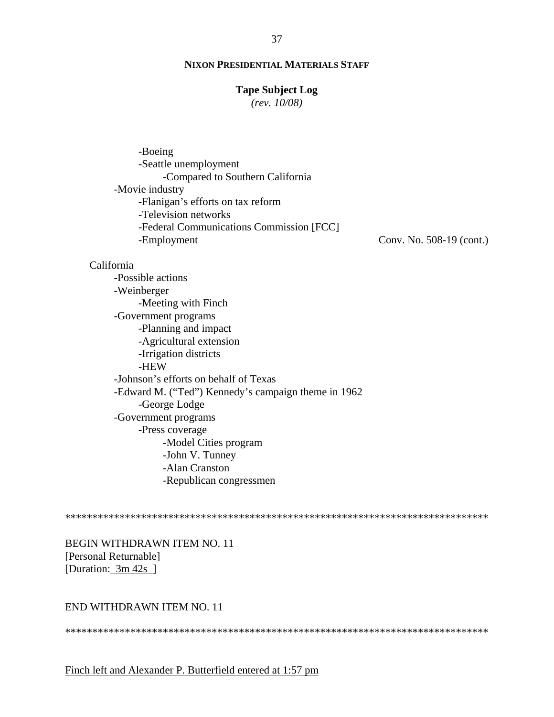# **Tape Subject Log**

 $(rev. 10/08)$ 

| -Boeing                                  |                          |
|------------------------------------------|--------------------------|
| -Seattle unemployment                    |                          |
| -Compared to Southern California         |                          |
| -Movie industry                          |                          |
| -Flanigan's efforts on tax reform        |                          |
| -Television networks                     |                          |
| -Federal Communications Commission [FCC] |                          |
| -Employment                              | Conv. No. 508-19 (cont.) |
|                                          |                          |

#### California

-Possible actions -Weinberger -Meeting with Finch -Government programs -Planning and impact -Agricultural extension -Irrigation districts -HEW -Johnson's efforts on behalf of Texas -Edward M. ("Ted") Kennedy's campaign theme in 1962 -George Lodge -Government programs -Press coverage -Model Cities program -John V. Tunney -Alan Cranston -Republican congressmen

**BEGIN WITHDRAWN ITEM NO. 11** [Personal Returnable] [Duration: 3m 42s ]

## END WITHDRAWN ITEM NO. 11

# Finch left and Alexander P. Butterfield entered at 1:57 pm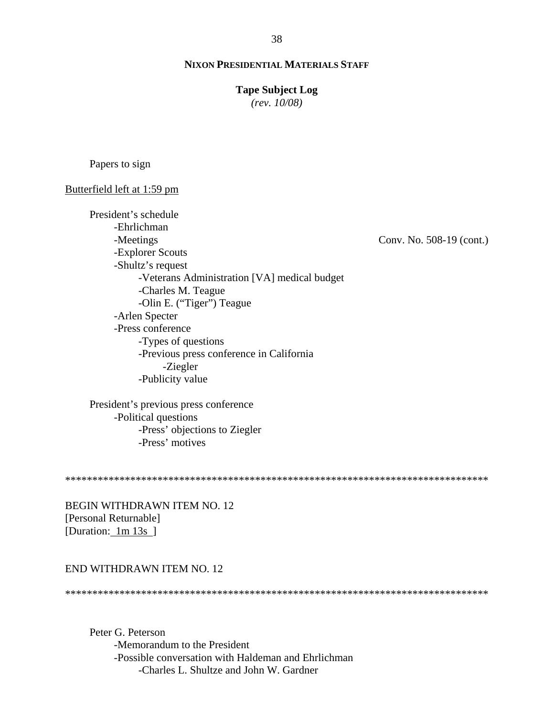#### **Tape Subject Log**

 $(rev. 10/08)$ 

Papers to sign

#### Butterfield left at 1:59 pm

President's schedule -Ehrlichman -Meetings Conv. No. 508-19 (cont.) -Explorer Scouts -Shultz's request -Veterans Administration [VA] medical budget -Charles M. Teague -Olin E. ("Tiger") Teague -Arlen Specter -Press conference -Types of questions -Previous press conference in California -Ziegler -Publicity value

President's previous press conference -Political questions -Press' objections to Ziegler -Press' motives

**BEGIN WITHDRAWN ITEM NO. 12** [Personal Returnable] [Duration: 1m 13s ]

### END WITHDRAWN ITEM NO. 12

Peter G. Peterson -Memorandum to the President -Possible conversation with Haldeman and Ehrlichman -Charles L. Shultze and John W. Gardner